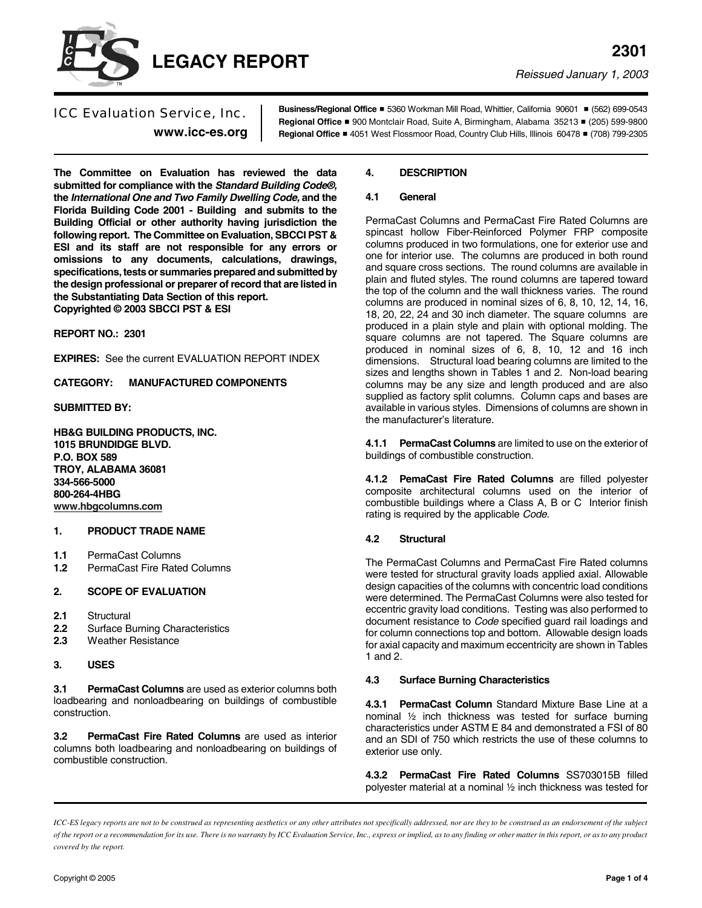

*Reissued January 1, 2003*

ICC Evaluation Service, Inc. **www.icc-es.org** **Business/Regional Office** # 5360 Workman Mill Road, Whittier, California 90601 # (562) 699-0543 Regional Office ■ 900 Montclair Road, Suite A, Birmingham, Alabama 35213 ■ (205) 599-9800 **Regional Office** # 4051 West Flossmoor Road, Country Club Hills, Illinois 60478 # (708) 799-2305

**The Committee on Evaluation has reviewed the data submitted for compliance with the** *Standard Building Code®,* **the** *International One and Two Family Dwelling Code,* **and the Florida Building Code 2001 - Building and submits to the Building Official or other authority having jurisdiction the following report. The Committee on Evaluation, SBCCI PST & ESI and its staff are not responsible for any errors or omissions to any documents, calculations, drawings, specifications, tests or summaries prepared and submitted by the design professional or preparer of record that are listed in the Substantiating Data Section of this report. Copyrighted © 2003 SBCCI PST & ESI**

**REPORT NO.: 2301**

**EXPIRES:** See the current EVALUATION REPORT INDEX

**CATEGORY: MANUFACTURED COMPONENTS**

**SUBMITTED BY:**

**HB&G BUILDING PRODUCTS, INC. 1015 BRUNDIDGE BLVD. P.O. BOX 589 TROY, ALABAMA 36081 334-566-5000 800-264-4HBG [www.hbgcolumns.com](http://www.hbgcolumns.com)**

## **1. PRODUCT TRADE NAME**

- **1.1** PermaCast Columns
- **1.2** PermaCast Fire Rated Columns

# **2. SCOPE OF EVALUATION**

- **2.1** Structural
- **2.2** Surface Burning Characteristics
- **2.3** Weather Resistance

## **3. USES**

**3.1 PermaCast Columns** are used as exterior columns both loadbearing and nonloadbearing on buildings of combustible construction.

**3.2 PermaCast Fire Rated Columns** are used as interior columns both loadbearing and nonloadbearing on buildings of combustible construction.

### **4. DESCRIPTION**

### **4.1 General**

PermaCast Columns and PermaCast Fire Rated Columns are spincast hollow Fiber-Reinforced Polymer FRP composite columns produced in two formulations, one for exterior use and one for interior use. The columns are produced in both round and square cross sections. The round columns are available in plain and fluted styles. The round columns are tapered toward the top of the column and the wall thickness varies. The round columns are produced in nominal sizes of 6, 8, 10, 12, 14, 16, 18, 20, 22, 24 and 30 inch diameter. The square columns are produced in a plain style and plain with optional molding. The square columns are not tapered. The Square columns are produced in nominal sizes of 6, 8, 10, 12 and 16 inch dimensions. Structural load bearing columns are limited to the sizes and lengths shown in Tables 1 and 2. Non-load bearing columns may be any size and length produced and are also supplied as factory split columns. Column caps and bases are available in various styles. Dimensions of columns are shown in the manufacturer's literature.

**4.1.1 PermaCast Columns** are limited to use on the exterior of buildings of combustible construction.

**4.1.2 PemaCast Fire Rated Columns** are filled polyester composite architectural columns used on the interior of combustible buildings where a Class A, B or C Interior finish rating is required by the applicable *Code*.

### **4.2 Structural**

The PermaCast Columns and PermaCast Fire Rated columns were tested for structural gravity loads applied axial. Allowable design capacities of the columns with concentric load conditions were determined. The PermaCast Columns were also tested for eccentric gravity load conditions. Testing was also performed to document resistance to *Code* specified guard rail loadings and for column connections top and bottom. Allowable design loads for axial capacity and maximum eccentricity are shown in Tables 1 and 2.

### **4.3 Surface Burning Characteristics**

**4.3.1 PermaCast Column** Standard Mixture Base Line at a nominal ½ inch thickness was tested for surface burning characteristics under ASTM E 84 and demonstrated a FSI of 80 and an SDI of 750 which restricts the use of these columns to exterior use only.

**4.3.2 PermaCast Fire Rated Columns** SS703015B filled polyester material at a nominal ½ inch thickness was tested for

*ICC-ES legacy reports are not to be construed as representing aesthetics or any other attributes not specifically addressed, nor are they to be construed as an endorsement of the subject of the report or a recommendation for its use. There is no warranty by ICC Evaluation Service, Inc., express or implied, as to any finding or other matter in this report, or as to any product covered by the report.*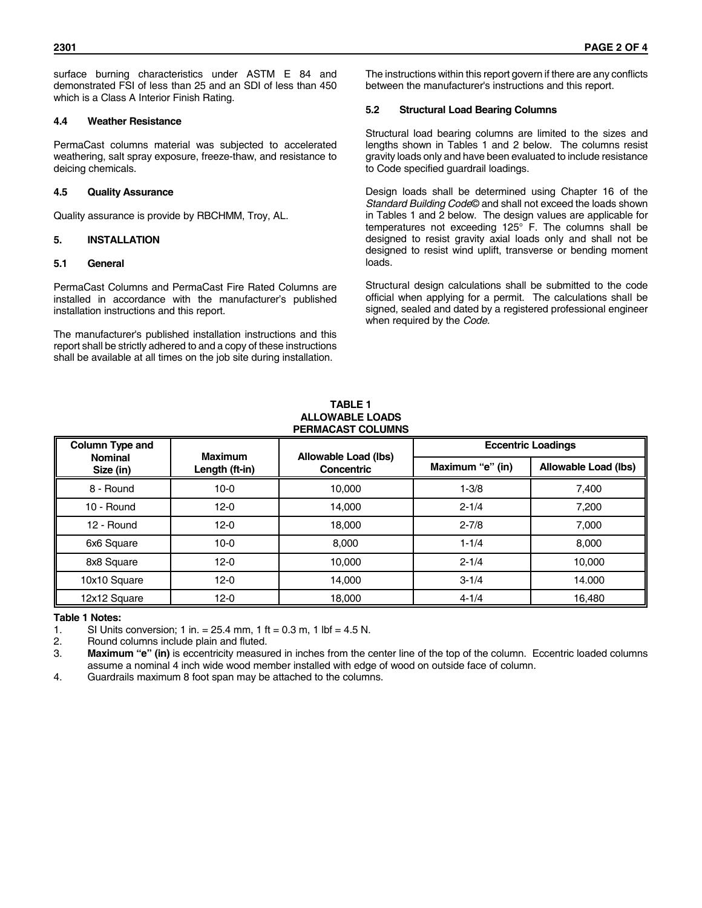surface burning characteristics under ASTM E 84 and demonstrated FSI of less than 25 and an SDI of less than 450 which is a Class A Interior Finish Rating.

### **4.4 Weather Resistance**

PermaCast columns material was subjected to accelerated weathering, salt spray exposure, freeze-thaw, and resistance to deicing chemicals.

### **4.5 Quality Assurance**

Quality assurance is provide by RBCHMM, Troy, AL.

### **5. INSTALLATION**

### **5.1 General**

PermaCast Columns and PermaCast Fire Rated Columns are installed in accordance with the manufacturer's published installation instructions and this report.

The manufacturer's published installation instructions and this report shall be strictly adhered to and a copy of these instructions shall be available at all times on the job site during installation.

The instructions within this report govern if there are any conflicts between the manufacturer's instructions and this report.

### **5.2 Structural Load Bearing Columns**

Structural load bearing columns are limited to the sizes and lengths shown in Tables 1 and 2 below. The columns resist gravity loads only and have been evaluated to include resistance to Code specified guardrail loadings.

Design loads shall be determined using Chapter 16 of the *Standard Building Code*© and shall not exceed the loads shown in Tables 1 and 2 below. The design values are applicable for temperatures not exceeding 125° F. The columns shall be designed to resist gravity axial loads only and shall not be designed to resist wind uplift, transverse or bending moment loads.

Structural design calculations shall be submitted to the code official when applying for a permit. The calculations shall be signed, sealed and dated by a registered professional engineer when required by the *Code.*

#### **TABLE 1 ALLOWABLE LOADS PERMACAST COLUMNS**

| Column Type and<br><b>Nominal</b><br>Size (in) | <b>Maximum</b><br>Length (ft-in) | Allowable Load (lbs)<br>Concentric | <b>Eccentric Loadings</b> |                      |
|------------------------------------------------|----------------------------------|------------------------------------|---------------------------|----------------------|
|                                                |                                  |                                    | Maximum "e" (in)          | Allowable Load (lbs) |
| 8 - Round                                      | $10 - 0$                         | 10.000                             | $1 - 3/8$                 | 7,400                |
| 10 - Round                                     | $12 - 0$                         | 14.000                             | $2 - 1/4$                 | 7,200                |
| 12 - Round                                     | $12 - 0$                         | 18,000                             | $2 - 7/8$                 | 7,000                |
| 6x6 Square                                     | $10 - 0$                         | 8.000                              | $1 - 1/4$                 | 8.000                |
| 8x8 Square                                     | $12 - 0$                         | 10.000                             | $2 - 1/4$                 | 10,000               |
| 10x10 Square                                   | $12 - 0$                         | 14.000                             | $3 - 1/4$                 | 14.000               |
| 12x12 Square                                   | $12-0$                           | 18,000                             | $4 - 1/4$                 | 16,480               |

#### **Table 1 Notes:**

1. SI Units conversion; 1 in.  $= 25.4$  mm, 1 ft  $= 0.3$  m, 1 lbf  $= 4.5$  N.<br>2. Round columns include plain and fluted.

2. Round columns include plain and fluted.

3. **Maximum "e" (in)** is eccentricity measured in inches from the center line of the top of the column. Eccentric loaded columns assume a nominal 4 inch wide wood member installed with edge of wood on outside face of column.

4. Guardrails maximum 8 foot span may be attached to the columns.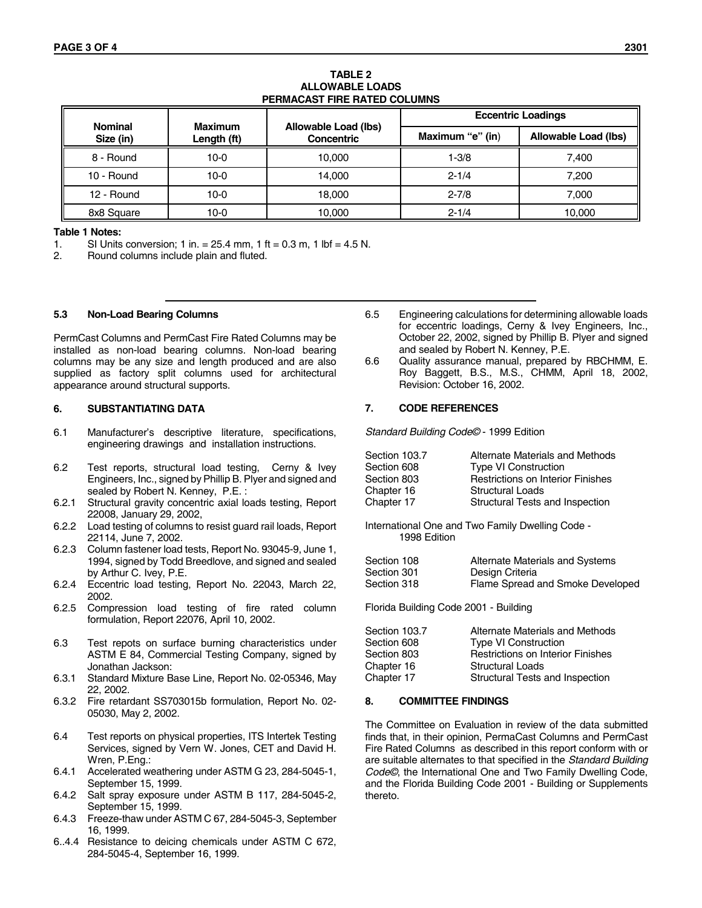### **TABLE 2 ALLOWABLE LOADS PERMACAST FIRE RATED COLUMNS**

| <b>Nominal</b> | <b>Maximum</b> |                                    | <b>Eccentric Loadings</b> |                      |
|----------------|----------------|------------------------------------|---------------------------|----------------------|
| Size (in)      | Length (ft)    | Allowable Load (lbs)<br>Concentric | Maximum "e" (in)          | Allowable Load (lbs) |
| 8 - Round      | $10-0$         | 10.000                             | $1 - 3/8$                 | 7.400                |
| 10 - Round     | $10-0$         | 14.000                             | $2 - 1/4$                 | 7.200                |
| 12 - Round     | $10 - 0$       | 18,000                             | $2 - 7/8$                 | 7.000                |
| 8x8 Square     | $10-0$         | 10.000                             | $2 - 1/4$                 | 10.000               |

#### **Table 1 Notes:**

1. SI Units conversion; 1 in. = 25.4 mm, 1 ft = 0.3 m, 1 lbf = 4.5 N.

2. Round columns include plain and fluted.

#### **5.3 Non-Load Bearing Columns**

PermCast Columns and PermCast Fire Rated Columns may be installed as non-load bearing columns. Non-load bearing columns may be any size and length produced and are also supplied as factory split columns used for architectural appearance around structural supports.

#### **6. SUBSTANTIATING DATA**

- 6.1 Manufacturer's descriptive literature, specifications, engineering drawings and installation instructions.
- 6.2 Test reports, structural load testing, Cerny & Ivey Engineers, Inc., signed by Phillip B. Plyer and signed and sealed by Robert N. Kenney, P.E. :
- 6.2.1 Structural gravity concentric axial loads testing, Report 22008, January 29, 2002,
- 6.2.2 Load testing of columns to resist guard rail loads, Report 22114, June 7, 2002.
- 6.2.3 Column fastener load tests, Report No. 93045-9, June 1, 1994, signed by Todd Breedlove, and signed and sealed by Arthur C. Ivey, P.E.
- 6.2.4 Eccentric load testing, Report No. 22043, March 22, 2002.
- 6.2.5 Compression load testing of fire rated column formulation, Report 22076, April 10, 2002.
- 6.3 Test repots on surface burning characteristics under ASTM E 84, Commercial Testing Company, signed by Jonathan Jackson:
- 6.3.1 Standard Mixture Base Line, Report No. 02-05346, May 22, 2002.
- 6.3.2 Fire retardant SS703015b formulation, Report No. 02- 05030, May 2, 2002.
- 6.4 Test reports on physical properties, ITS Intertek Testing Services, signed by Vern W. Jones, CET and David H. Wren, P.Eng.:
- 6.4.1 Accelerated weathering under ASTM G 23, 284-5045-1, September 15, 1999.
- 6.4.2 Salt spray exposure under ASTM B 117, 284-5045-2, September 15, 1999.
- 6.4.3 Freeze-thaw under ASTM C 67, 284-5045-3, September 16, 1999.
- 6..4.4 Resistance to deicing chemicals under ASTM C 672, 284-5045-4, September 16, 1999.
- 6.5 Engineering calculations for determining allowable loads for eccentric loadings, Cerny & Ivey Engineers, Inc., October 22, 2002, signed by Phillip B. Plyer and signed and sealed by Robert N. Kenney, P.E.
- 6.6 Quality assurance manual, prepared by RBCHMM, E. Roy Baggett, B.S., M.S., CHMM, April 18, 2002, Revision: October 16, 2002.

#### **7. CODE REFERENCES**

*Standard Building Code©* - 1999 Edition

| Section 103.7 | Alternate Materials and Methods          |
|---------------|------------------------------------------|
| Section 608   | <b>Type VI Construction</b>              |
| Section 803   | <b>Restrictions on Interior Finishes</b> |
| Chapter 16    | <b>Structural Loads</b>                  |
| Chapter 17    | Structural Tests and Inspection          |
|               |                                          |

International One and Two Family Dwelling Code - 1998 Edition

| Section 108 | Alternate Materials and Systems  |
|-------------|----------------------------------|
| Section 301 | Design Criteria                  |
| Section 318 | Flame Spread and Smoke Developed |

Florida Building Code 2001 - Building

| Section 103.7 | Alternate Materials and Methods          |
|---------------|------------------------------------------|
| Section 608   | <b>Type VI Construction</b>              |
| Section 803   | <b>Restrictions on Interior Finishes</b> |
| Chapter 16    | <b>Structural Loads</b>                  |
| Chapter 17    | Structural Tests and Inspection          |

#### **8. COMMITTEE FINDINGS**

The Committee on Evaluation in review of the data submitted finds that, in their opinion, PermaCast Columns and PermCast Fire Rated Columns as described in this report conform with or are suitable alternates to that specified in the *Standard Building Code©*, the International One and Two Family Dwelling Code, and the Florida Building Code 2001 - Building or Supplements thereto.